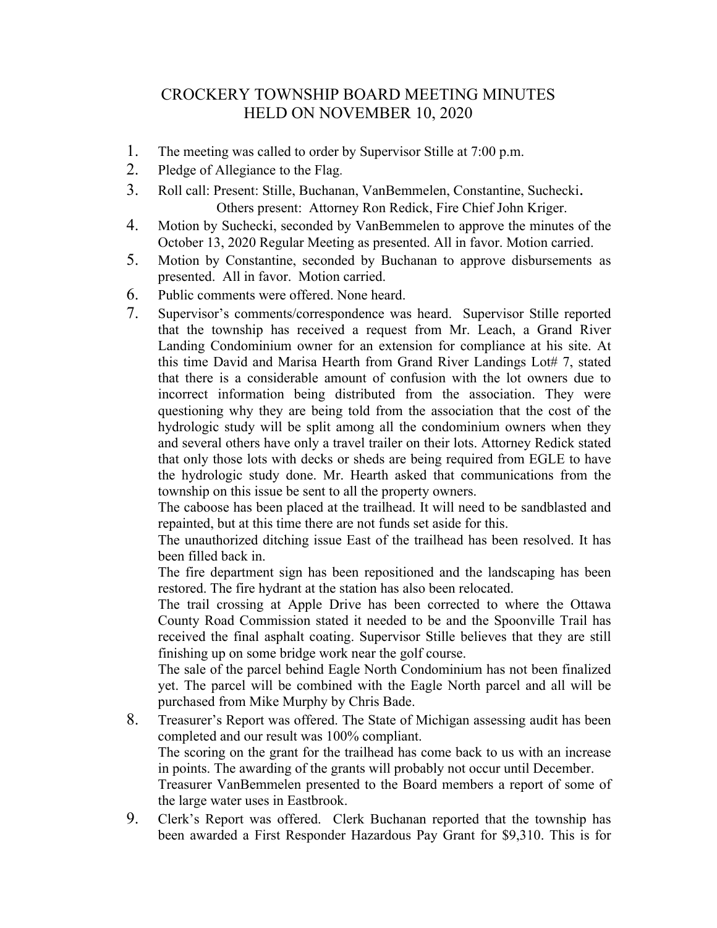## CROCKERY TOWNSHIP BOARD MEETING MINUTES HELD ON NOVEMBER 10, 2020

- 1. The meeting was called to order by Supervisor Stille at 7:00 p.m.
- 2. Pledge of Allegiance to the Flag.
- 3. Roll call: Present: Stille, Buchanan, VanBemmelen, Constantine, Suchecki. Others present: Attorney Ron Redick, Fire Chief John Kriger.
- 4. Motion by Suchecki, seconded by VanBemmelen to approve the minutes of the October 13, 2020 Regular Meeting as presented. All in favor. Motion carried.
- 5. Motion by Constantine, seconded by Buchanan to approve disbursements as presented. All in favor. Motion carried.
- 6. Public comments were offered. None heard.
- 7. Supervisor's comments/correspondence was heard. Supervisor Stille reported that the township has received a request from Mr. Leach, a Grand River Landing Condominium owner for an extension for compliance at his site. At this time David and Marisa Hearth from Grand River Landings Lot# 7, stated that there is a considerable amount of confusion with the lot owners due to incorrect information being distributed from the association. They were questioning why they are being told from the association that the cost of the hydrologic study will be split among all the condominium owners when they and several others have only a travel trailer on their lots. Attorney Redick stated that only those lots with decks or sheds are being required from EGLE to have the hydrologic study done. Mr. Hearth asked that communications from the township on this issue be sent to all the property owners.

The caboose has been placed at the trailhead. It will need to be sandblasted and repainted, but at this time there are not funds set aside for this.

The unauthorized ditching issue East of the trailhead has been resolved. It has been filled back in.

The fire department sign has been repositioned and the landscaping has been restored. The fire hydrant at the station has also been relocated.

The trail crossing at Apple Drive has been corrected to where the Ottawa County Road Commission stated it needed to be and the Spoonville Trail has received the final asphalt coating. Supervisor Stille believes that they are still finishing up on some bridge work near the golf course.

The sale of the parcel behind Eagle North Condominium has not been finalized yet. The parcel will be combined with the Eagle North parcel and all will be purchased from Mike Murphy by Chris Bade.

- 8. Treasurer's Report was offered. The State of Michigan assessing audit has been completed and our result was 100% compliant. The scoring on the grant for the trailhead has come back to us with an increase in points. The awarding of the grants will probably not occur until December. Treasurer VanBemmelen presented to the Board members a report of some of the large water uses in Eastbrook.
- 9. Clerk's Report was offered. Clerk Buchanan reported that the township has been awarded a First Responder Hazardous Pay Grant for \$9,310. This is for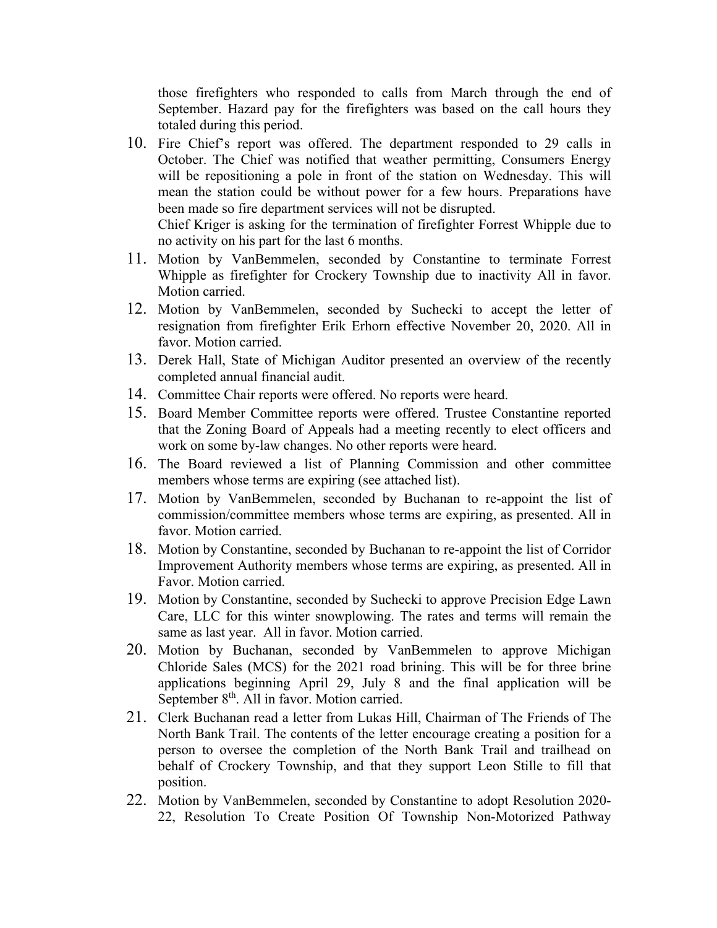those firefighters who responded to calls from March through the end of September. Hazard pay for the firefighters was based on the call hours they totaled during this period.

10. Fire Chief's report was offered. The department responded to 29 calls in October. The Chief was notified that weather permitting, Consumers Energy will be repositioning a pole in front of the station on Wednesday. This will mean the station could be without power for a few hours. Preparations have been made so fire department services will not be disrupted.

Chief Kriger is asking for the termination of firefighter Forrest Whipple due to no activity on his part for the last 6 months.

- 11. Motion by VanBemmelen, seconded by Constantine to terminate Forrest Whipple as firefighter for Crockery Township due to inactivity All in favor. Motion carried.
- 12. Motion by VanBemmelen, seconded by Suchecki to accept the letter of resignation from firefighter Erik Erhorn effective November 20, 2020. All in favor. Motion carried.
- 13. Derek Hall, State of Michigan Auditor presented an overview of the recently completed annual financial audit.
- 14. Committee Chair reports were offered. No reports were heard.
- 15. Board Member Committee reports were offered. Trustee Constantine reported that the Zoning Board of Appeals had a meeting recently to elect officers and work on some by-law changes. No other reports were heard.
- 16. The Board reviewed a list of Planning Commission and other committee members whose terms are expiring (see attached list).
- 17. Motion by VanBemmelen, seconded by Buchanan to re-appoint the list of commission/committee members whose terms are expiring, as presented. All in favor. Motion carried.
- 18. Motion by Constantine, seconded by Buchanan to re-appoint the list of Corridor Improvement Authority members whose terms are expiring, as presented. All in Favor. Motion carried.
- 19. Motion by Constantine, seconded by Suchecki to approve Precision Edge Lawn Care, LLC for this winter snowplowing. The rates and terms will remain the same as last year. All in favor. Motion carried.
- 20. Motion by Buchanan, seconded by VanBemmelen to approve Michigan Chloride Sales (MCS) for the 2021 road brining. This will be for three brine applications beginning April 29, July 8 and the final application will be September 8<sup>th</sup>. All in favor. Motion carried.
- 21. Clerk Buchanan read a letter from Lukas Hill, Chairman of The Friends of The North Bank Trail. The contents of the letter encourage creating a position for a person to oversee the completion of the North Bank Trail and trailhead on behalf of Crockery Township, and that they support Leon Stille to fill that position.
- 22. Motion by VanBemmelen, seconded by Constantine to adopt Resolution 2020- 22, Resolution To Create Position Of Township Non-Motorized Pathway